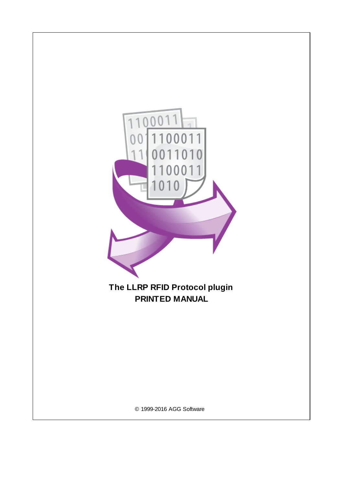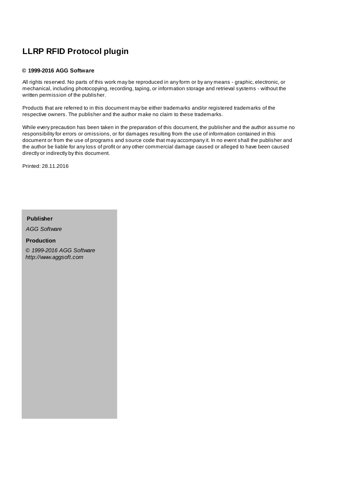# **LLRP RFID Protocol plugin**

#### **© 1999-2016 AGG Software**

All rights reserved. No parts of this work may be reproduced in any form or by any means - graphic, electronic, or mechanical, including photocopying, recording, taping, or information storage and retrieval systems - without the written permission of the publisher.

Products that are referred to in this document may be either trademarks and/or registered trademarks of the respective owners. The publisher and the author make no claim to these trademarks.

While every precaution has been taken in the preparation of this document, the publisher and the author assume no responsibility for errors or omissions, or for damages resulting from the use of information contained in this document or from the use of programs and source code that may accompany it. In no event shall the publisher and the author be liable for any loss of profit or any other commercial damage caused or alleged to have been caused directly or indirectly by this document.

Printed: 28.11.2016

**Publisher**

*AGG Software*

**Production**

*© 1999-2016 AGG Software http://www.aggsoft.com*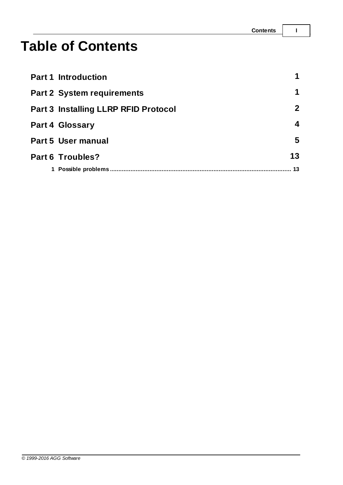# **Table of Contents**

| <b>Part 1 Introduction</b>                  |                         |
|---------------------------------------------|-------------------------|
| <b>Part 2 System requirements</b>           | 1                       |
| <b>Part 3 Installing LLRP RFID Protocol</b> | 2 <sup>1</sup>          |
| <b>Part 4 Glossary</b>                      | $\overline{\mathbf{4}}$ |
| <b>Part 5 User manual</b>                   | 5                       |
| <b>Part 6 Troubles?</b>                     | 13                      |
| 1 Possible problems                         | 13                      |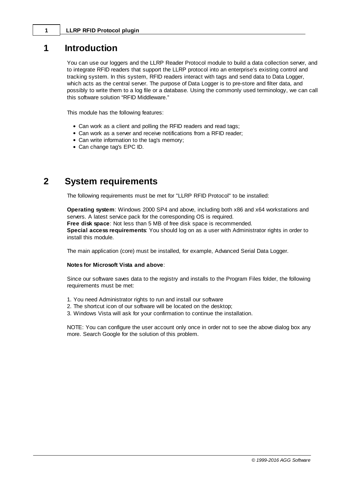# <span id="page-3-0"></span>**1 Introduction**

You can use our loggers and the LLRP Reader Protocol module to build a data collection server, and to integrate RFID readers that support the LLRP protocol into an enterprise's existing control and tracking system. In this system, RFID readers interact with tags and send data to Data Logger, which acts as the central server. The purpose of Data Logger is to pre-store and filter data, and possibly to write them to a log file or a database. Using the commonly used terminology, we can call this software solution "RFID Middleware."

This module has the following features:

- Can work as a client and polling the RFID readers and read tags;
- Can work as a server and receive notifications from a RFID reader;
- Can write information to the tag's memory;
- Can change tag's EPC ID.

# <span id="page-3-1"></span>**2 System requirements**

The following requirements must be met for "LLRP RFID Protocol" to be installed:

**Operating system**: Windows 2000 SP4 and above, including both x86 and x64 workstations and servers. A latest service pack for the corresponding OS is required.

**Free disk space**: Not less than 5 MB of free disk space is recommended.

**Special access requirements**: You should log on as a user with Administrator rights in order to install this module.

The main application (core) must be installed, for example, Advanced Serial Data Logger.

#### **Notes for Microsoft Vista and above**:

Since our software saves data to the registry and installs to the Program Files folder, the following requirements must be met:

- 1. You need Administrator rights to run and install our software
- 2. The shortcut icon of our software will be located on the desktop;
- 3. Windows Vista will ask for your confirmation to continue the installation.

NOTE: You can configure the user account only once in order not to see the above dialog box any more. Search Google for the solution of this problem.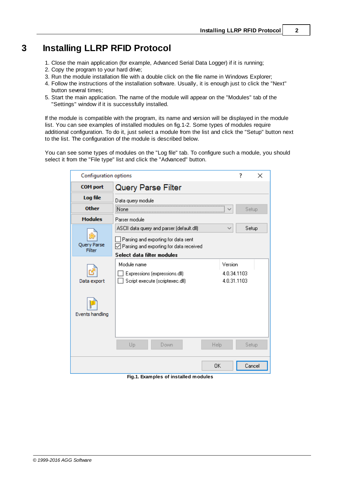# <span id="page-4-0"></span>**3 Installing LLRP RFID Protocol**

- 1. Close the main application (for example, Advanced Serial Data Logger) if it is running;
- 2. Copy the program to your hard drive;
- 3. Run the module installation file with a double click on the file name in Windows Explorer;
- 4. Follow the instructions of the installation software. Usually, it is enough just to click the "Next" button several times;
- 5. Start the main application. The name of the module will appear on the "Modules" tab of the "Settings" window if it is successfully installed.

If the module is compatible with the program, its name and version will be displayed in the module list. You can see examples of installed modules on fig.1-2. Some types of modules require additional configuration. To do it, just select a module from the list and click the "Setup" button next to the list. The configuration of the module is described below.

You can see some types of modules on the "Log file" tab. To configure such a module, you should select it from the "File type" list and click the "Advanced" button.

|                       | Configuration options<br>7<br>×                                                |         |             |        |
|-----------------------|--------------------------------------------------------------------------------|---------|-------------|--------|
| <b>COM</b> port       | <b>Query Parse Filter</b>                                                      |         |             |        |
| Log file              | Data query module                                                              |         |             |        |
| <b>Other</b>          | None                                                                           |         |             | Setup  |
| <b>Modules</b>        | Parser module                                                                  |         |             |        |
|                       | ASCII data query and parser (default.dll)                                      |         | Setup       |        |
| Query Parse<br>Filter | Parsing and exporting for data sent<br>Parsing and exporting for data received |         |             |        |
|                       | Select data filter modules                                                     |         |             |        |
|                       | Module name                                                                    | Version |             |        |
|                       | Expressions (expressions.dll)                                                  |         | 4.0.34.1103 |        |
| Data export           | Script execute (scriptexec.dll)                                                |         | 4.0.31.1103 |        |
| Events handling       |                                                                                |         |             |        |
|                       |                                                                                |         |             |        |
|                       | Up<br>Help<br>Down                                                             |         | Setup       |        |
|                       | 0K                                                                             |         |             | Cancel |

**Fig.1. Examples of installed modules**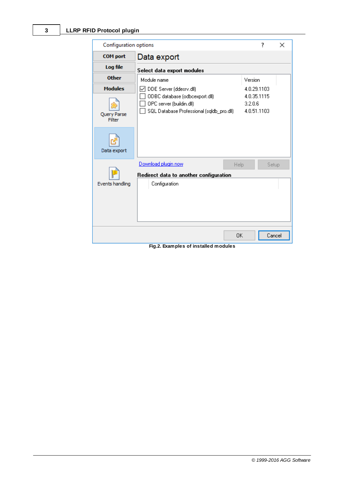|                                                         | 7<br><b>Configuration options</b><br>$\times$                                                                                                          |                                                                 |        |  |
|---------------------------------------------------------|--------------------------------------------------------------------------------------------------------------------------------------------------------|-----------------------------------------------------------------|--------|--|
| <b>COM</b> port                                         | Data export                                                                                                                                            |                                                                 |        |  |
| Log file                                                | Select data export modules                                                                                                                             |                                                                 |        |  |
| <b>Other</b><br><b>Modules</b><br>Query Parse<br>Filter | Module name<br>DDE Server (ddesrv.dll)<br>◡<br>ODBC database (odbcexport.dll)<br>OPC server (buildin.dll)<br>SQL Database Professional (sqldb_pro.dll) | Version<br>4.0.29.1103<br>4.0.35.1115<br>3.2.0.6<br>4.0.51.1103 |        |  |
| Data export                                             | Download plugin now<br>Help<br>Redirect data to another configuration                                                                                  | Setup                                                           |        |  |
| Events handling                                         | Configuration                                                                                                                                          |                                                                 |        |  |
|                                                         | 0K                                                                                                                                                     |                                                                 | Cancel |  |
| Fig.2. Examples of installed modules                    |                                                                                                                                                        |                                                                 |        |  |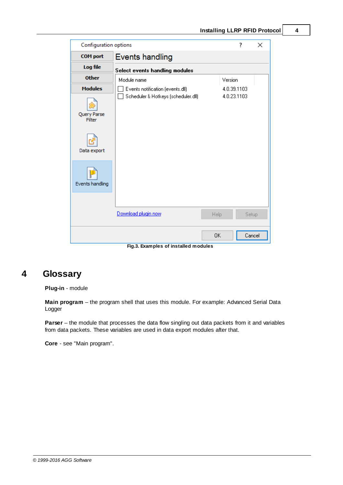|                                      | Configuration options<br>7<br>×     |      |             |        |  |
|--------------------------------------|-------------------------------------|------|-------------|--------|--|
| <b>COM</b> port                      | <b>Events handling</b>              |      |             |        |  |
| Log file                             | Select events handling modules      |      |             |        |  |
| <b>Other</b>                         | Module name                         |      | Version     |        |  |
| <b>Modules</b>                       | Events notification (events.dll)    |      | 4.0.39.1103 |        |  |
| Query Parse<br>Filter                | Scheduler & Hotkeys (scheduler.dll) |      | 4.0.23.1103 |        |  |
| Data export                          |                                     |      |             |        |  |
| <b>Events handling</b>               |                                     |      |             |        |  |
|                                      | Download plugin now                 | Help |             | Setup  |  |
|                                      |                                     | 0K   |             | Cancel |  |
| Fig.3. Examples of installed modules |                                     |      |             |        |  |

# <span id="page-6-0"></span>**4 Glossary**

#### **Plug-in** - module

**Main program** – the program shell that uses this module. For example: Advanced Serial Data Logger

**Parser** – the module that processes the data flow singling out data packets from it and variables from data packets. These variables are used in data export modules after that.

**Core** - see "Main program".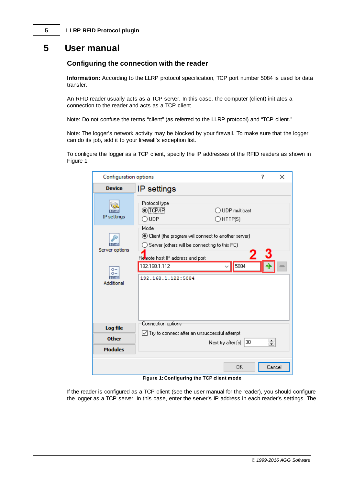# <span id="page-7-0"></span>**5 User manual**

### **Configuring the connection with the reader**

**Information:** According to the LLRP protocol specification, TCP port number 5084 is used for data transfer.

An RFID reader usually acts as a TCP server. In this case, the computer (client) initiates a connection to the reader and acts as a TCP client.

Note: Do not confuse the terms "client" (as referred to the LLRP protocol) and "TCP client."

Note: The logger's network activity may be blocked by your firewall. To make sure that the logger can do its job, add it to your firewall's exception list.

To configure the logger as a TCP client, specify the IP addresses of the RFID readers as shown in Figure 1.

|                                                                                                                                                                    | Configuration options<br>7                                                                                                                                   |   | $\times$ |
|--------------------------------------------------------------------------------------------------------------------------------------------------------------------|--------------------------------------------------------------------------------------------------------------------------------------------------------------|---|----------|
| <b>Device</b>                                                                                                                                                      | IP settings                                                                                                                                                  |   |          |
| IP settings                                                                                                                                                        | Protocol type<br>$\odot$ TCP/IP<br><b>UDP</b> multicast<br>$\supset$ UDP<br>HTTP(S)                                                                          |   |          |
| Server options                                                                                                                                                     | Mode<br>◉ Client (the program will connect to another server)<br>$\bigcirc$ Server (others will be connecting to this PC)<br>Remote host IP address and port | 3 |          |
| o-<br>٥-<br>101.01<br><b>Additional</b>                                                                                                                            | 192.168.1.112<br>5084<br>192.168.1.122:5084                                                                                                                  |   |          |
| Connection options:<br>Log file<br>$\sqrt{\phantom{a}}$ Try to connect after an unsuccessful attempt<br><b>Other</b><br>30<br>Next try after [s]<br><b>Modules</b> |                                                                                                                                                              | 싂 |          |
|                                                                                                                                                                    | OK.<br>$\mathbf{r}$<br><b>TOD</b>                                                                                                                            |   | Cancel   |

**Figure 1: Configuring the TCP client mode**

If the reader is configured as a TCP client (see the user manual for the reader), you should configure the logger as a TCP server. In this case, enter the server's IP address in each reader's settings. The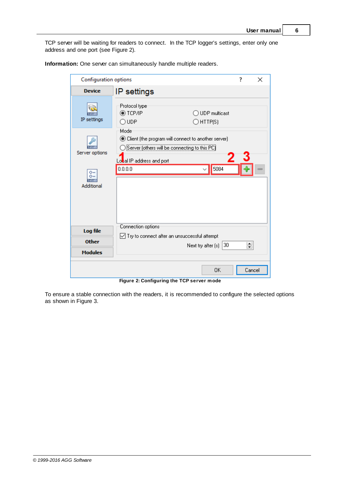TCP server will be waiting for readers to connect. In the TCP logger's settings, enter only one address and one port (see Figure 2).

**Information:** One server can simultaneously handle multiple readers.

|                                                        | <b>Configuration options</b><br>7<br>$\times$                                                                                                                  |   |        |
|--------------------------------------------------------|----------------------------------------------------------------------------------------------------------------------------------------------------------------|---|--------|
| <b>Device</b>                                          | IP settings                                                                                                                                                    |   |        |
| IP settings                                            | Protocol type<br>tCP/IP ⊙<br><b>UDP</b> multicast<br>∩∪DP<br>HTTP(S)                                                                                           |   |        |
| Server options<br>$0-$<br>$0-$<br>101.01<br>Additional | Mode<br>◉ Client (the program will connect to another server)<br>Server (others will be connecting to this PC)<br>Local IP address and port<br>5084<br>0.0.0.0 |   |        |
| Log file<br><b>Other</b>                               | Connection options<br>$\sqrt{ }$ Try to connect after an unsuccessful attempt                                                                                  |   |        |
| <b>Modules</b>                                         | 30<br>Next try after [s]                                                                                                                                       | 싂 |        |
|                                                        | <b>OK</b>                                                                                                                                                      |   | Cancel |

**Figure 2: Configuring the TCP server mode**

To ensure a stable connection with the readers, it is recommended to configure the selected options as shown in Figure 3.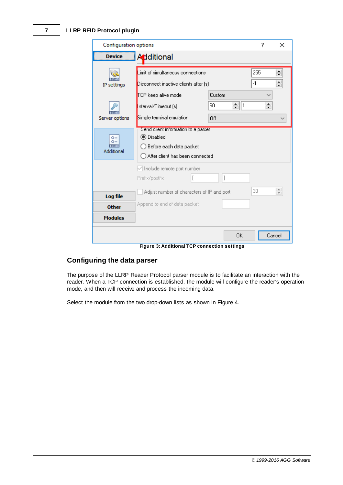| <b>Configuration options</b>     |                                                                                                                                           |     | 7                                                                | ×                                           |
|----------------------------------|-------------------------------------------------------------------------------------------------------------------------------------------|-----|------------------------------------------------------------------|---------------------------------------------|
| <b>Device</b>                    | <b>Additional</b>                                                                                                                         |     |                                                                  |                                             |
| IP settings                      | Limit of simultaneous connections<br>Disconnect inactive clients after [s]<br>TCP keep alive mode<br>Custom<br>60<br>Interval/Timeout [s] | 1∥≑ | 255<br>$-1$<br>$\left  \cdot \right $<br>$\overline{\mathbf{r}}$ | $\div$<br>$\div$                            |
| Server options                   | Simple terminal emulation<br>Off                                                                                                          |     |                                                                  |                                             |
| ō-<br>o-<br>101.01<br>Additional | Send client information to a parser<br><b>◎</b> Disabled<br>Before each data packet<br>After client has been connected                    |     |                                                                  |                                             |
|                                  | $\vee$ Include remote port number<br>1<br>Prefix/postfix                                                                                  |     |                                                                  |                                             |
| Log file                         | Adjust number of characters of IP and port                                                                                                |     | 30                                                               | $\blacktriangle$<br>$\overline{\mathbf{v}}$ |
| <b>Other</b>                     | Append to end of data packet                                                                                                              |     |                                                                  |                                             |
| <b>Modules</b>                   |                                                                                                                                           |     |                                                                  |                                             |
|                                  | Figure 2: Additional TCD connection cettings                                                                                              | 0K  |                                                                  | Cancel                                      |

**Figure 3: Additional TCP connection settings**

### **Configuring the data parser**

The purpose of the LLRP Reader Protocol parser module is to facilitate an interaction with the reader. When a TCP connection is established, the module will configure the reader's operation mode, and then will receive and process the incoming data.

Select the module from the two drop-down lists as shown in Figure 4.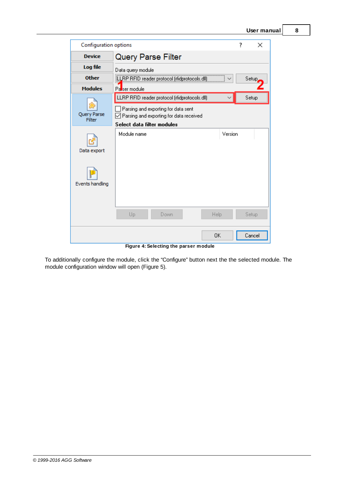| <b>Configuration options</b> |                                                                                | ? | ×      |  |
|------------------------------|--------------------------------------------------------------------------------|---|--------|--|
| <b>Device</b>                | <b>Query Parse Filter</b>                                                      |   |        |  |
| Log file                     | Data query module                                                              |   |        |  |
| <b>Other</b>                 | [LLRP RFID reader protocol (rfidprotocols.dll)                                 |   | Setup  |  |
| <b>Modules</b>               | Paser module                                                                   |   |        |  |
|                              | LLRP RFID reader protocol (rfidprotocols.dll)                                  |   | Setup  |  |
| Query Parse<br>Filter        | Parsing and exporting for data sent<br>Parsing and exporting for data received |   |        |  |
|                              | Select data filter modules                                                     |   |        |  |
| Data export                  | Module name<br>Version                                                         |   |        |  |
| Events handling              |                                                                                |   |        |  |
|                              | Up<br>Help<br>Down                                                             |   | Setup  |  |
|                              | 0K                                                                             |   | Cancel |  |

**Figure 4: Selecting the parser module**

To additionally configure the module, click the "Configure" button next the the selected module. The module configuration window will open (Figure 5).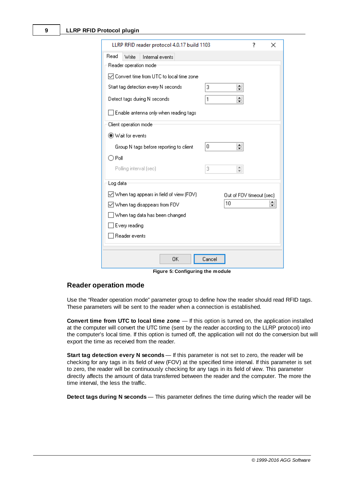| LLRP RFID reader protocol 4.0.17 build 1103                                   |        |                                                    | 7 | × |
|-------------------------------------------------------------------------------|--------|----------------------------------------------------|---|---|
| Read<br>Write<br>Internal events                                              |        |                                                    |   |   |
| Reader operation mode                                                         |        |                                                    |   |   |
| $\boxdot$ Convert time from UTC to local time zone                            |        |                                                    |   |   |
| Start tag detection every N seconds                                           | з      | $\left  \cdot \right $<br>$\overline{\phantom{a}}$ |   |   |
| Detect tags during N seconds                                                  | 1      | $\left  \cdot \right $<br>$\overline{\phantom{a}}$ |   |   |
| Enable antenna only when reading tags                                         |        |                                                    |   |   |
| Client operation mode                                                         |        |                                                    |   |   |
| ◉ Wait for events                                                             |        |                                                    |   |   |
| Group N tags before reporting to client                                       | 0      | ◾<br>$\blacksquare$                                |   |   |
| Poll                                                                          |        |                                                    |   |   |
| Polling interval (sec)                                                        | 3      | $\Delta \omega$<br>$\overline{\phantom{a}}$        |   |   |
| Log data                                                                      |        |                                                    |   |   |
| $\Box$ When tag appears in field of view (FOV)                                |        | Out of FOV timeout (sec)                           |   |   |
| ∸<br>10<br>$\boxdot$ When tag disappears from FOV<br>$\overline{\phantom{a}}$ |        |                                                    |   |   |
| When tag data has been changed                                                |        |                                                    |   |   |
| Every reading                                                                 |        |                                                    |   |   |
| Reader events                                                                 |        |                                                    |   |   |
|                                                                               |        |                                                    |   |   |
| ΟK                                                                            | Cancel |                                                    |   |   |

**Figure 5: Configuring the module**

#### **Reader operation mode**

Use the "Reader operation mode" parameter group to define how the reader should read RFID tags. These parameters will be sent to the reader when a connection is established.

**Convert time from UTC to local time zone** — If this option is turned on, the application installed at the computer will convert the UTC time (sent by the reader according to the LLRP protocol) into the computer's local time. If this option is turned off, the application will not do the conversion but will export the time as received from the reader.

**Start tag detection every N seconds** — If this parameter is not set to zero, the reader will be checking for any tags in its field of view (FOV) at the specified time interval. If this parameter is set to zero, the reader will be continuously checking for any tags in its field of view. This parameter directly affects the amount of data transferred between the reader and the computer. The more the time interval, the less the traffic.

**Detect tags during N seconds** — This parameter defines the time during which the reader will be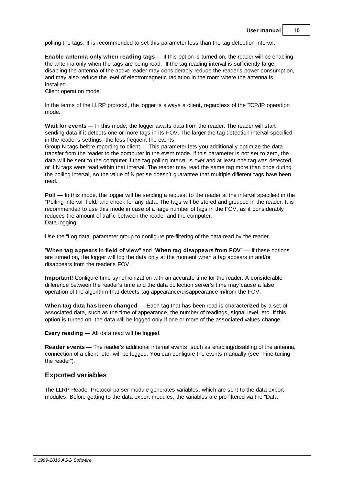polling the tags. It is recommended to set this parameter less than the tag detection interval.

**Enable antenna only when reading tags** — If this option is turned on, the reader will be enabling the antenna only when the tags are being read. If the tag reading interval is sufficiently large, disabling the antenna of the active reader may considerably reduce the reader's power consumption, and may also reduce the level of electromagnetic radiation in the room where the antenna is installed.

Client operation mode

In the terms of the LLRP protocol, the logger is always a client, regardless of the TCP/IP operation mode.

**Wait for events** — In this mode, the logger awaits data from the reader. The reader will start sending data if it detects one or more tags in its FOV. The larger the tag detection interval specified in the reader's settings, the less frequent the events.

Group N tags before reporting to client — This parameter lets you additionally optimize the data transfer from the reader to the computer in the event mode. If this parameter is not set to zero, the data will be sent to the computer if the tag polling interval is over and at least one tag was detected, or if N tags were read within that interval. The reader may read the same tag more than once during the polling interval, so the value of N per se doesn't guarantee that multiple different tags have been read.

**Poll** — In this mode, the logger will be sending a request to the reader at the interval specified in the "Polling interval" field, and check for any data. The tags will be stored and grouped in the reader. It is recommended to use this mode in case of a large number of tags in the FOV, as it considerably reduces the amount of traffic between the reader and the computer. Data logging

Use the "Log data" parameter group to configure pre-filtering of the data read by the reader.

**When tag appears in field of view**" and "**When tag disappears from FOV**" — If these options are turned on, the logger will log the data only at the moment when a tag appears in and/or disappears from the reader's FOV.

**Important!** Configure time synchronization with an accurate time for the reader. A considerable difference between the reader's time and the data collection server's time may cause a false operation of the algorithm that detects tag appearance/disappearance in/from the FOV.

**When tag data has been changed** — Each tag that has been read is characterized by a set of associated data, such as the time of appearance, the number of readings, signal level, etc. If this option is turned on, the data will be logged only if one or more of the associated values change.

**Every reading** — All data read will be logged.

**Reader events** — The reader's additional internal events, such as enabling/disabling of the antenna, connection of a client, etc. will be logged. You can configure the events manually (see "Fine-tuning the reader").

### **Exported variables**

The LLRP Reader Protocol parser module generates variables, which are sent to the data export modules. Before getting to the data export modules, the variables are pre-filtered via the "Data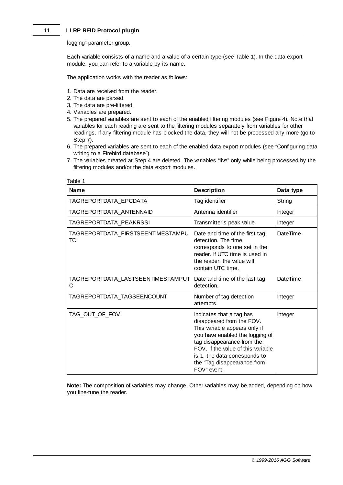#### **11 LLRP RFID Protocol plugin**

logging" parameter group.

Each variable consists of a name and a value of a certain type (see Table 1). In the data export module, you can refer to a variable by its name.

The application works with the reader as follows:

- 1. Data are received from the reader.
- 2. The data are parsed.
- 3. The data are pre-filtered.
- 4. Variables are prepared.
- 5. The prepared variables are sent to each of the enabled filtering modules (see Figure 4). Note that variables for each reading are sent to the filtering modules separately from variables for other readings. If any filtering module has blocked the data, they will not be processed any more (go to Step 7).
- 6. The prepared variables are sent to each of the enabled data export modules (see "Configuring data writing to a Firebird database").
- 7. The variables created at Step 4 are deleted. The variables "live" only while being processed by the filtering modules and/or the data export modules.

| Table 1                                 |                                                                                                                                                                                                                                                                              |           |
|-----------------------------------------|------------------------------------------------------------------------------------------------------------------------------------------------------------------------------------------------------------------------------------------------------------------------------|-----------|
| <b>Name</b>                             | <b>Description</b>                                                                                                                                                                                                                                                           | Data type |
| TAGREPORTDATA EPCDATA                   | Tag identifier                                                                                                                                                                                                                                                               | String    |
| TAGREPORTDATA ANTENNAID                 | Antenna identifier                                                                                                                                                                                                                                                           | Integer   |
| TAGREPORTDATA PEAKRSSI                  | Transmitter's peak value                                                                                                                                                                                                                                                     | Integer   |
| TAGREPORTDATA FIRSTSEENTIMESTAMPU<br>ТC | Date and time of the first tag<br>detection. The time<br>corresponds to one set in the<br>reader. If UTC time is used in<br>the reader, the value will<br>contain UTC time.                                                                                                  | DateTime  |
| TAGREPORTDATA LASTSEENTIMESTAMPUT<br>С  | Date and time of the last tag<br>detection.                                                                                                                                                                                                                                  | DateTime  |
| TAGREPORTDATA TAGSEENCOUNT              | Number of tag detection<br>attempts.                                                                                                                                                                                                                                         | Integer   |
| TAG OUT OF FOV                          | Indicates that a tag has<br>disappeared from the FOV.<br>This variable appears only if<br>you have enabled the logging of<br>tag disappearance from the<br>FOV. If the value of this variable<br>is 1, the data corresponds to<br>the "Tag disappearance from<br>FOV" event. | Integer   |

**Note:** The composition of variables may change. Other variables may be added, depending on how you fine-tune the reader.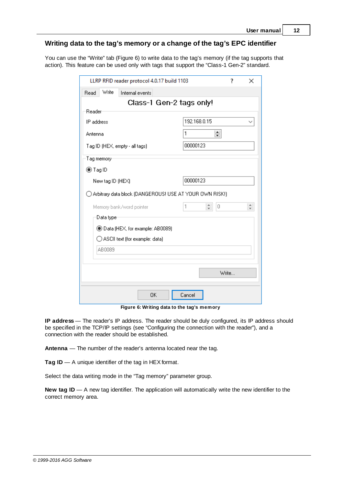#### **Writing data to the tag's memory or a change of the tag's EPC identifier**

You can use the "Write" tab (Figure 6) to write data to the tag's memory (if the tag supports that action). This feature can be used only with tags that support the "Class-1 Gen-2" standard.

| LLRP RFID reader protocol 4.0.17 build 1103<br>?<br>$\times$ |                                                       |  |  |  |  |
|--------------------------------------------------------------|-------------------------------------------------------|--|--|--|--|
| Write<br>Internal events<br>Read                             |                                                       |  |  |  |  |
| Class-1 Gen-2 tags only!                                     |                                                       |  |  |  |  |
| Reader                                                       |                                                       |  |  |  |  |
| IP address                                                   | 192.168.0.15                                          |  |  |  |  |
| Antenna                                                      | $\div$<br>1                                           |  |  |  |  |
| Tag ID (HEX, empty - all tags)                               | 00000123                                              |  |  |  |  |
| Tag memory:                                                  |                                                       |  |  |  |  |
| ◉ Tag ID                                                     |                                                       |  |  |  |  |
| New tag ID (HEX)                                             | 00000123                                              |  |  |  |  |
| Arbitrary data block (DANGEROUS! USE AT YOUR OWN RISK!)      |                                                       |  |  |  |  |
| Memory bank/word pointer                                     | $\blacktriangle$<br>1<br>0<br>$\overline{\mathbf{v}}$ |  |  |  |  |
| Data type:                                                   |                                                       |  |  |  |  |
| ◉ Data (HEX, for example: AB0089)                            |                                                       |  |  |  |  |
| ◯ ASCII text (for example: data)                             |                                                       |  |  |  |  |
| AB0089                                                       |                                                       |  |  |  |  |
|                                                              |                                                       |  |  |  |  |
|                                                              | Write                                                 |  |  |  |  |
| OΚ                                                           | Cancel                                                |  |  |  |  |

**Figure 6: Writing data to the tag's memory**

**IP address** — The reader's IP address. The reader should be duly configured, its IP address should be specified in the TCP/IP settings (see "Configuring the connection with the reader"), and a connection with the reader should be established.

**Antenna** — The number of the reader's antenna located near the tag.

**Tag ID** — A unique identifier of the tag in HEX format.

Select the data writing mode in the "Tag memory" parameter group.

**New tag ID** — A new tag identifier. The application will automatically write the new identifier to the correct memory area.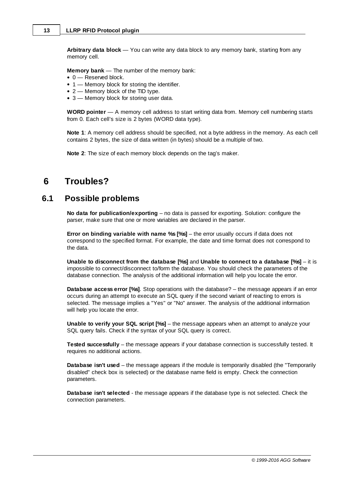**Arbitrary data block** — You can write any data block to any memory bank, starting from any memory cell.

**Memory bank** — The number of the memory bank:

- 0 Reserved block.
- 1 Memory block for storing the identifier.
- 2 Memory block of the TID type.
- 3 Memory block for storing user data.

**WORD pointer** — A memory cell address to start writing data from. Memory cell numbering starts from 0. Each cell's size is 2 bytes (WORD data type).

**Note 1**: A memory cell address should be specified, not a byte address in the memory. As each cell contains 2 bytes, the size of data written (in bytes) should be a multiple of two.

**Note 2**: The size of each memory block depends on the tag's maker.

### <span id="page-15-0"></span>**6 Troubles?**

### **6.1 Possible problems**

**No data for publication/exporting** – no data is passed for exporting. Solution: configure the parser, make sure that one or more variables are declared in the parser.

**Error on binding variable with name %s [%s]** – the error usually occurs if data does not correspond to the specified format. For example, the date and time format does not correspond to the data.

**Unable to disconnect from the database [%s]** and **Unable to connect to a database [%s]** – it is impossible to connect/disconnect to/form the database. You should check the parameters of the database connection. The analysis of the additional information will help you locate the error.

**Database access error [%s]**. Stop operations with the database? – the message appears if an error occurs during an attempt to execute an SQL query if the second variant of reacting to errors is selected. The message implies a "Yes" or "No" answer. The analysis of the additional information will help you locate the error.

**Unable to verify your SQL script [%s]** – the message appears when an attempt to analyze your SQL query fails. Check if the syntax of your SQL query is correct.

**Tested successfully** – the message appears if your database connection is successfully tested. It requires no additional actions.

**Database isn't used** – the message appears if the module is temporarily disabled (the "Temporarily disabled" check box is selected) or the database name field is empty. Check the connection parameters.

**Database isn't selected** - the message appears if the database type is not selected. Check the connection parameters.